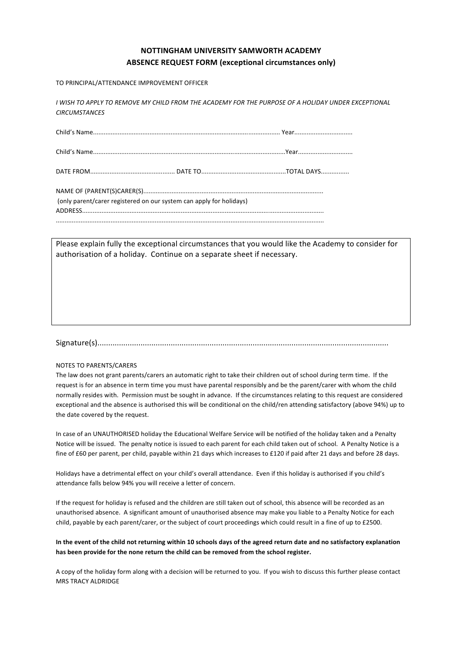## **NOTTINGHAM)UNIVERSITY)SAMWORTH)ACADEMY** ABSENCE REQUEST FORM (exceptional circumstances only)

TO PRINCIPAL/ATTENDANCE IMPROVEMENT OFFICER

I WISH TO APPLY TO REMOVE MY CHILD FROM THE ACADEMY FOR THE PURPOSE OF A HOLIDAY UNDER EXCEPTIONAL *CIRCUMSTANCES*

Child's!Name..........................................................................................................!Year.................................

Child's!Name.............................................................................................................Year...............................

DATE!FROM................................................!DATE!TO................................................TOTAL!DAYS................

| (only parent/carer registered on our system can apply for holidays) |
|---------------------------------------------------------------------|
|                                                                     |
|                                                                     |

Please explain fully the exceptional circumstances that you would like the Academy to consider for authorisation of a holiday. Continue on a separate sheet if necessary.

Signature(s).......................................................................................................................................

## NOTES TO PARENTS/CARERS

The law does not grant parents/carers an automatic right to take their children out of school during term time. If the request is for an absence in term time you must have parental responsibly and be the parent/carer with whom the child normally resides with. Permission must be sought in advance. If the circumstances relating to this request are considered exceptional and the absence is authorised this will be conditional on the child/ren attending satisfactory (above 94%) up to the date covered by the request.

In case of an UNAUTHORISED holiday the Educational Welfare Service will be notified of the holiday taken and a Penalty Notice will be issued. The penalty notice is issued to each parent for each child taken out of school. A Penalty Notice is a fine of £60 per parent, per child, payable within 21 days which increases to £120 if paid after 21 days and before 28 days.

Holidays have a detrimental effect on your child's overall attendance. Even if this holiday is authorised if you child's attendance falls below 94% you will receive a letter of concern.

If the request for holiday is refused and the children are still taken out of school, this absence will be recorded as an unauthorised absence. A significant amount of unauthorised absence may make you liable to a Penalty Notice for each child, payable by each parent/carer, or the subject of court proceedings which could result in a fine of up to £2500.

In the event of the child not returning within 10 schools days of the agreed return date and no satisfactory explanation has been provide for the none return the child can be removed from the school register.

A copy of the holiday form along with a decision will be returned to you. If you wish to discuss this further please contact MRS TRACY ALDRIDGE